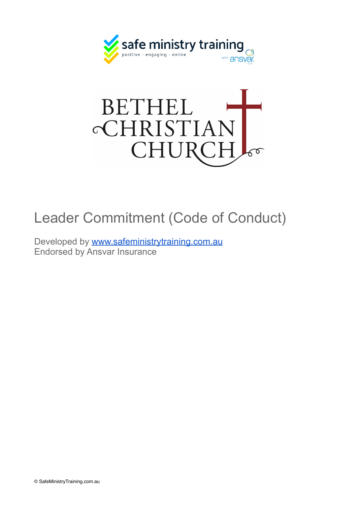



## Leader Commitment (Code of Conduct)

Developed by [www.safeministrytraining.com.au](http://www.safeministrytraining.com.au) Endorsed by Ansvar Insurance